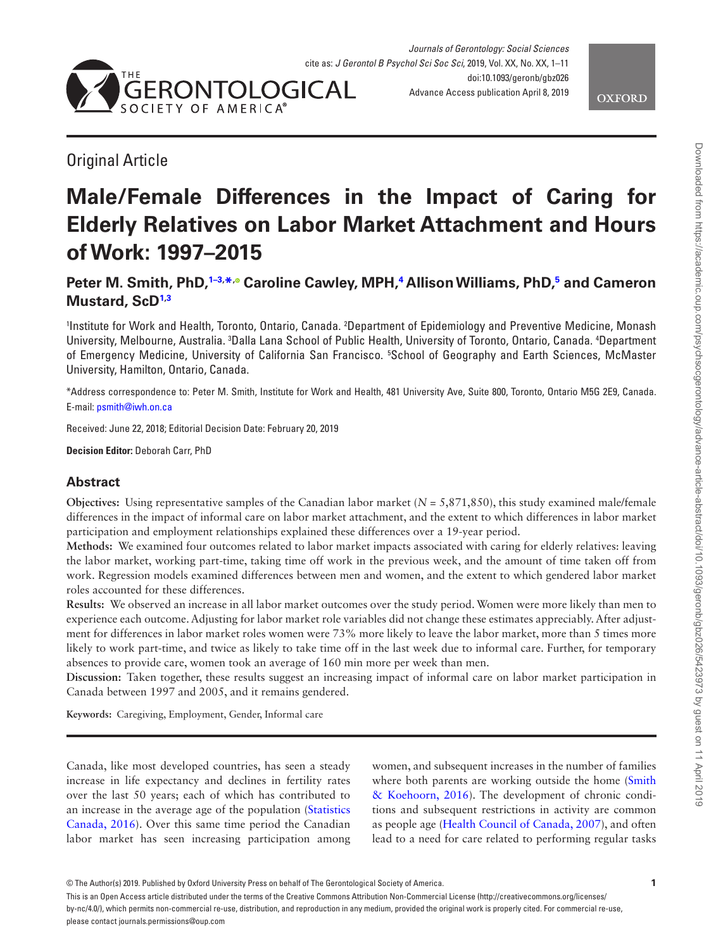



# Original Article

# **Male/Female Differences in the Impact of Caring for Elderly Relatives on Labor Market Attachment and Hours of Work: 1997–2015**

**Peter M. Smith, PhD,[1–3](#page-0-0), [\\*](#page-0-1)[,](http://orcid.org/0000-0001-8286-4563) Caroline Cawley, MPH[,4](#page-0-2) Allison Williams, PhD[,5](#page-0-3) and Cameron Mustard, Sc[D1](#page-0-0)[,3](#page-0-1)**

<span id="page-0-3"></span><span id="page-0-2"></span><span id="page-0-1"></span><span id="page-0-0"></span>1 Institute for Work and Health, Toronto, Ontario, Canada. 2 Department of Epidemiology and Preventive Medicine, Monash University, Melbourne, Australia. <sup>3</sup>Dalla Lana School of Public Health, University of Toronto, Ontario, Canada. <sup>4</sup>Department of Emergency Medicine, University of California San Francisco. 5 School of Geography and Earth Sciences, McMaster University, Hamilton, Ontario, Canada.

\*Address correspondence to: Peter M. Smith, Institute for Work and Health, 481 University Ave, Suite 800, Toronto, Ontario M5G 2E9, Canada. E-mail: [psmith@iwh.on.ca](mailto:psmith@iwh.on.ca?subject=)

Received: June 22, 2018; Editorial Decision Date: February 20, 2019

**Decision Editor:** Deborah Carr, PhD

# **Abstract**

**Objectives:** Using representative samples of the Canadian labor market  $(N = 5,871,850)$ , this study examined male/female differences in the impact of informal care on labor market attachment, and the extent to which differences in labor market participation and employment relationships explained these differences over a 19-year period.

**Methods:** We examined four outcomes related to labor market impacts associated with caring for elderly relatives: leaving the labor market, working part-time, taking time off work in the previous week, and the amount of time taken off from work. Regression models examined differences between men and women, and the extent to which gendered labor market roles accounted for these differences.

**Results:** We observed an increase in all labor market outcomes over the study period. Women were more likely than men to experience each outcome. Adjusting for labor market role variables did not change these estimates appreciably. After adjustment for differences in labor market roles women were 73% more likely to leave the labor market, more than 5 times more likely to work part-time, and twice as likely to take time off in the last week due to informal care. Further, for temporary absences to provide care, women took an average of 160 min more per week than men.

**Discussion:** Taken together, these results suggest an increasing impact of informal care on labor market participation in Canada between 1997 and 2005, and it remains gendered.

**Keywords:** Caregiving, Employment, Gender, Informal care

Canada, like most developed countries, has seen a steady increase in life expectancy and declines in fertility rates over the last 50 years; each of which has contributed to an increase in the average age of the population ([Statistics](#page-10-0)  [Canada, 2016\)](#page-10-0). Over this same time period the Canadian labor market has seen increasing participation among

women, and subsequent increases in the number of families where both parents are working outside the home (Smith) [& Koehoorn, 2016](#page-10-1)). The development of chronic conditions and subsequent restrictions in activity are common as people age ([Health Council of Canada, 2007](#page-9-0)), and often lead to a need for care related to performing regular tasks

This is an Open Access article distributed under the terms of the Creative Commons Attribution Non-Commercial License (http://creativecommons.org/licenses/ by-nc/4.0/), which permits non-commercial re-use, distribution, and reproduction in any medium, provided the original work is properly cited. For commercial re-use, please contact journals.permissions@oup.com

<sup>©</sup> The Author(s) 2019. Published by Oxford University Press on behalf of The Gerontological Society of America. **1**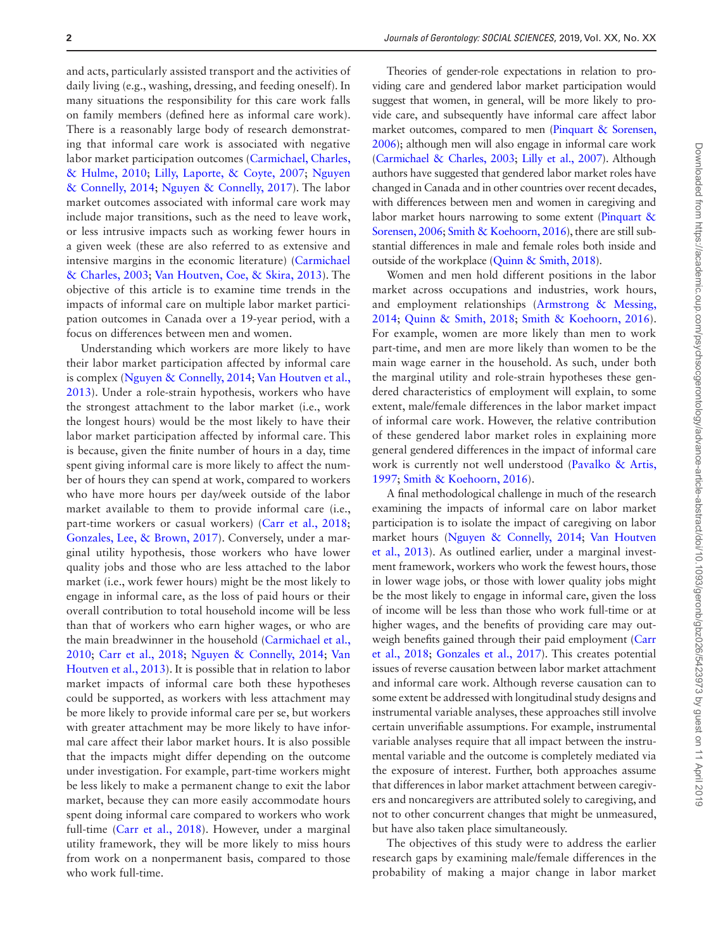and acts, particularly assisted transport and the activities of daily living (e.g., washing, dressing, and feeding oneself). In many situations the responsibility for this care work falls on family members (defined here as informal care work). There is a reasonably large body of research demonstrating that informal care work is associated with negative labor market participation outcomes ([Carmichael, Charles,](#page-9-1)  [& Hulme, 2010](#page-9-1); [Lilly, Laporte, & Coyte, 2007;](#page-9-2) [Nguyen](#page-10-2)  [& Connelly, 2014;](#page-10-2) [Nguyen & Connelly, 2017\)](#page-10-3). The labor market outcomes associated with informal care work may include major transitions, such as the need to leave work, or less intrusive impacts such as working fewer hours in a given week (these are also referred to as extensive and intensive margins in the economic literature) ([Carmichael](#page-9-3)  [& Charles, 2003](#page-9-3); [Van Houtven, Coe, & Skira, 2013](#page-10-4)). The objective of this article is to examine time trends in the impacts of informal care on multiple labor market participation outcomes in Canada over a 19-year period, with a focus on differences between men and women.

Understanding which workers are more likely to have their labor market participation affected by informal care is complex [\(Nguyen & Connelly, 2014](#page-10-2); [Van Houtven et al.,](#page-10-4)  [2013](#page-10-4)). Under a role-strain hypothesis, workers who have the strongest attachment to the labor market (i.e., work the longest hours) would be the most likely to have their labor market participation affected by informal care. This is because, given the finite number of hours in a day, time spent giving informal care is more likely to affect the number of hours they can spend at work, compared to workers who have more hours per day/week outside of the labor market available to them to provide informal care (i.e., part-time workers or casual workers) (Carr et al., 2018; [Gonzales, Lee, & Brown, 2017\)](#page-9-5). Conversely, under a marginal utility hypothesis, those workers who have lower quality jobs and those who are less attached to the labor market (i.e., work fewer hours) might be the most likely to engage in informal care, as the loss of paid hours or their overall contribution to total household income will be less than that of workers who earn higher wages, or who are the main breadwinner in the household [\(Carmichael et al.,](#page-9-1)  [2010](#page-9-1); [Carr et al., 2018](#page-9-4); [Nguyen & Connelly, 2014;](#page-10-2) [Van](#page-10-4)  [Houtven et al., 2013](#page-10-4)). It is possible that in relation to labor market impacts of informal care both these hypotheses could be supported, as workers with less attachment may be more likely to provide informal care per se, but workers with greater attachment may be more likely to have informal care affect their labor market hours. It is also possible that the impacts might differ depending on the outcome under investigation. For example, part-time workers might be less likely to make a permanent change to exit the labor market, because they can more easily accommodate hours spent doing informal care compared to workers who work full-time (Carr et al., 2018). However, under a marginal utility framework, they will be more likely to miss hours from work on a nonpermanent basis, compared to those who work full-time.

Theories of gender-role expectations in relation to providing care and gendered labor market participation would suggest that women, in general, will be more likely to provide care, and subsequently have informal care affect labor market outcomes, compared to men (Pinquart & Sorensen, [2006](#page-10-5)); although men will also engage in informal care work ([Carmichael & Charles, 2003;](#page-9-3) [Lilly et al., 2007](#page-9-2)). Although authors have suggested that gendered labor market roles have changed in Canada and in other countries over recent decades, with differences between men and women in caregiving and labor market hours narrowing to some extent [\(Pinquart &](#page-10-5)  [Sorensen, 2006;](#page-10-5) [Smith & Koehoorn, 2016\)](#page-10-1), there are still substantial differences in male and female roles both inside and outside of the workplace [\(Quinn & Smith, 2018\)](#page-10-6).

Women and men hold different positions in the labor market across occupations and industries, work hours, and employment relationships [\(Armstrong & Messing,](#page-9-6)  [2014](#page-9-6); [Quinn & Smith, 2018](#page-10-6); [Smith & Koehoorn, 2016](#page-10-1)). For example, women are more likely than men to work part-time, and men are more likely than women to be the main wage earner in the household. As such, under both the marginal utility and role-strain hypotheses these gendered characteristics of employment will explain, to some extent, male/female differences in the labor market impact of informal care work. However, the relative contribution of these gendered labor market roles in explaining more general gendered differences in the impact of informal care work is currently not well understood [\(Pavalko & Artis,](#page-10-7)  [1997](#page-10-7); [Smith & Koehoorn, 2016\)](#page-10-1).

A final methodological challenge in much of the research examining the impacts of informal care on labor market participation is to isolate the impact of caregiving on labor market hours [\(Nguyen & Connelly, 2014](#page-10-2); [Van Houtven](#page-10-4)  [et al., 2013](#page-10-4)). As outlined earlier, under a marginal investment framework, workers who work the fewest hours, those in lower wage jobs, or those with lower quality jobs might be the most likely to engage in informal care, given the loss of income will be less than those who work full-time or at higher wages, and the benefits of providing care may outweigh benefits gained through their paid employment [\(Carr](#page-9-4)  [et al., 2018](#page-9-4); [Gonzales et al., 2017\)](#page-9-5). This creates potential issues of reverse causation between labor market attachment and informal care work. Although reverse causation can to some extent be addressed with longitudinal study designs and instrumental variable analyses, these approaches still involve certain unverifiable assumptions. For example, instrumental variable analyses require that all impact between the instrumental variable and the outcome is completely mediated via the exposure of interest. Further, both approaches assume that differences in labor market attachment between caregivers and noncaregivers are attributed solely to caregiving, and not to other concurrent changes that might be unmeasured, but have also taken place simultaneously.

The objectives of this study were to address the earlier research gaps by examining male/female differences in the probability of making a major change in labor market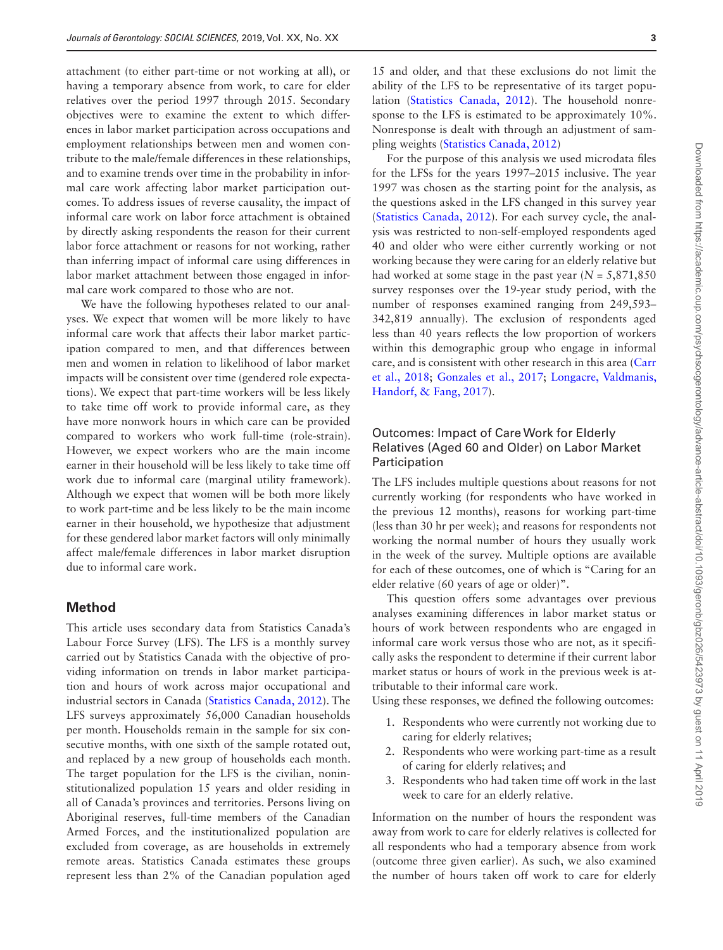attachment (to either part-time or not working at all), or having a temporary absence from work, to care for elder relatives over the period 1997 through 2015. Secondary objectives were to examine the extent to which differences in labor market participation across occupations and employment relationships between men and women contribute to the male/female differences in these relationships, and to examine trends over time in the probability in informal care work affecting labor market participation outcomes. To address issues of reverse causality, the impact of informal care work on labor force attachment is obtained by directly asking respondents the reason for their current labor force attachment or reasons for not working, rather than inferring impact of informal care using differences in labor market attachment between those engaged in informal care work compared to those who are not.

We have the following hypotheses related to our analyses. We expect that women will be more likely to have informal care work that affects their labor market participation compared to men, and that differences between men and women in relation to likelihood of labor market impacts will be consistent over time (gendered role expectations). We expect that part-time workers will be less likely to take time off work to provide informal care, as they have more nonwork hours in which care can be provided compared to workers who work full-time (role-strain). However, we expect workers who are the main income earner in their household will be less likely to take time off work due to informal care (marginal utility framework). Although we expect that women will be both more likely to work part-time and be less likely to be the main income earner in their household, we hypothesize that adjustment for these gendered labor market factors will only minimally affect male/female differences in labor market disruption due to informal care work.

#### **Method**

This article uses secondary data from Statistics Canada's Labour Force Survey (LFS). The LFS is a monthly survey carried out by Statistics Canada with the objective of providing information on trends in labor market participation and hours of work across major occupational and industrial sectors in Canada ([Statistics Canada, 2012\)](#page-10-8). The LFS surveys approximately 56,000 Canadian households per month. Households remain in the sample for six consecutive months, with one sixth of the sample rotated out, and replaced by a new group of households each month. The target population for the LFS is the civilian, noninstitutionalized population 15 years and older residing in all of Canada's provinces and territories. Persons living on Aboriginal reserves, full-time members of the Canadian Armed Forces, and the institutionalized population are excluded from coverage, as are households in extremely remote areas. Statistics Canada estimates these groups represent less than 2% of the Canadian population aged

15 and older, and that these exclusions do not limit the ability of the LFS to be representative of its target population [\(Statistics Canada, 2012](#page-10-8)). The household nonresponse to the LFS is estimated to be approximately 10%. Nonresponse is dealt with through an adjustment of sampling weights [\(Statistics Canada, 2012\)](#page-10-8)

For the purpose of this analysis we used microdata files for the LFSs for the years 1997–2015 inclusive. The year 1997 was chosen as the starting point for the analysis, as the questions asked in the LFS changed in this survey year ([Statistics Canada, 2012\)](#page-10-8). For each survey cycle, the analysis was restricted to non-self-employed respondents aged 40 and older who were either currently working or not working because they were caring for an elderly relative but had worked at some stage in the past year (*N* = 5,871,850 survey responses over the 19-year study period, with the number of responses examined ranging from 249,593– 342,819 annually). The exclusion of respondents aged less than 40 years reflects the low proportion of workers within this demographic group who engage in informal care, and is consistent with other research in this area [\(Carr](#page-9-4)  [et al., 2018;](#page-9-4) [Gonzales et al., 2017;](#page-9-5) [Longacre, Valdmanis,](#page-9-7)  [Handorf, & Fang, 2017](#page-9-7)).

#### Outcomes: Impact of Care Work for Elderly Relatives (Aged 60 and Older) on Labor Market Participation

The LFS includes multiple questions about reasons for not currently working (for respondents who have worked in the previous 12 months), reasons for working part-time (less than 30 hr per week); and reasons for respondents not working the normal number of hours they usually work in the week of the survey. Multiple options are available for each of these outcomes, one of which is "Caring for an elder relative (60 years of age or older)".

This question offers some advantages over previous analyses examining differences in labor market status or hours of work between respondents who are engaged in informal care work versus those who are not, as it specifically asks the respondent to determine if their current labor market status or hours of work in the previous week is attributable to their informal care work.

Using these responses, we defined the following outcomes:

- 1. Respondents who were currently not working due to caring for elderly relatives;
- 2. Respondents who were working part-time as a result of caring for elderly relatives; and
- 3. Respondents who had taken time off work in the last week to care for an elderly relative.

Information on the number of hours the respondent was away from work to care for elderly relatives is collected for all respondents who had a temporary absence from work (outcome three given earlier). As such, we also examined the number of hours taken off work to care for elderly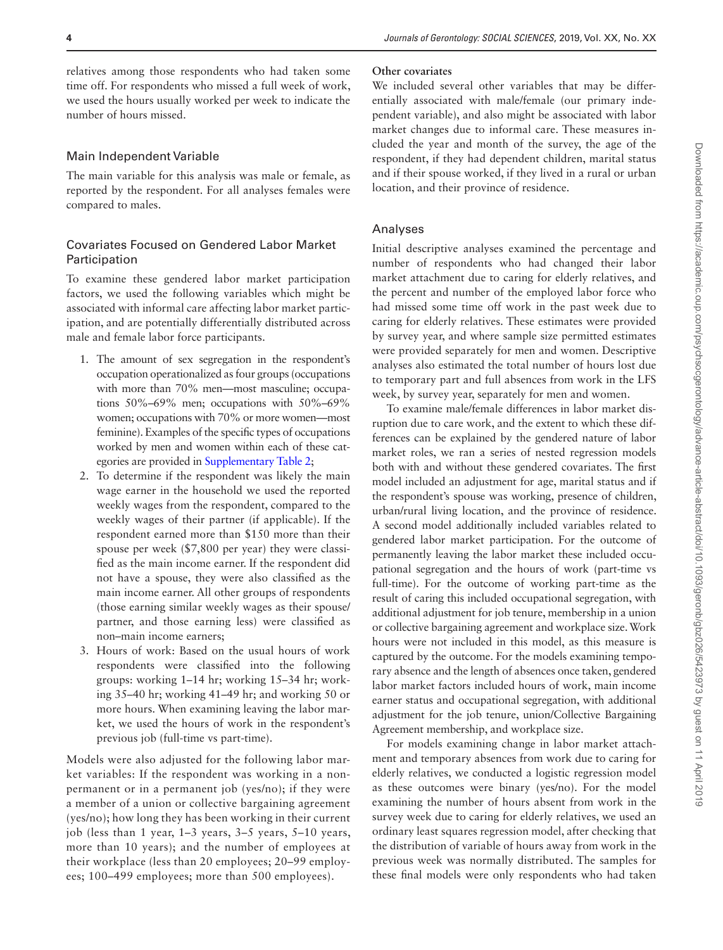relatives among those respondents who had taken some time off. For respondents who missed a full week of work, we used the hours usually worked per week to indicate the number of hours missed.

#### Main Independent Variable

The main variable for this analysis was male or female, as reported by the respondent. For all analyses females were compared to males.

#### Covariates Focused on Gendered Labor Market Participation

To examine these gendered labor market participation factors, we used the following variables which might be associated with informal care affecting labor market participation, and are potentially differentially distributed across male and female labor force participants.

- 1. The amount of sex segregation in the respondent's occupation operationalized as four groups (occupations with more than 70% men—most masculine; occupations 50%–69% men; occupations with 50%–69% women; occupations with 70% or more women—most feminine). Examples of the specific types of occupations worked by men and women within each of these categories are provided in [Supplementary Table 2](http://academic.oup.com/psychsocgerontology/article-lookup/doi/10.1093/geronb/gbz026#supplementary-data);
- 2. To determine if the respondent was likely the main wage earner in the household we used the reported weekly wages from the respondent, compared to the weekly wages of their partner (if applicable). If the respondent earned more than \$150 more than their spouse per week (\$7,800 per year) they were classified as the main income earner. If the respondent did not have a spouse, they were also classified as the main income earner. All other groups of respondents (those earning similar weekly wages as their spouse/ partner, and those earning less) were classified as non–main income earners;
- 3. Hours of work: Based on the usual hours of work respondents were classified into the following groups: working 1–14 hr; working 15–34 hr; working 35–40 hr; working 41–49 hr; and working 50 or more hours. When examining leaving the labor market, we used the hours of work in the respondent's previous job (full-time vs part-time).

Models were also adjusted for the following labor market variables: If the respondent was working in a nonpermanent or in a permanent job (yes/no); if they were a member of a union or collective bargaining agreement (yes/no); how long they has been working in their current job (less than 1 year, 1–3 years, 3–5 years, 5–10 years, more than 10 years); and the number of employees at their workplace (less than 20 employees; 20–99 employees; 100–499 employees; more than 500 employees).

#### **Other covariates**

We included several other variables that may be differentially associated with male/female (our primary independent variable), and also might be associated with labor market changes due to informal care. These measures included the year and month of the survey, the age of the respondent, if they had dependent children, marital status and if their spouse worked, if they lived in a rural or urban location, and their province of residence.

#### Analyses

Initial descriptive analyses examined the percentage and number of respondents who had changed their labor market attachment due to caring for elderly relatives, and the percent and number of the employed labor force who had missed some time off work in the past week due to caring for elderly relatives. These estimates were provided by survey year, and where sample size permitted estimates were provided separately for men and women. Descriptive analyses also estimated the total number of hours lost due to temporary part and full absences from work in the LFS week, by survey year, separately for men and women.

To examine male/female differences in labor market disruption due to care work, and the extent to which these differences can be explained by the gendered nature of labor market roles, we ran a series of nested regression models both with and without these gendered covariates. The first model included an adjustment for age, marital status and if the respondent's spouse was working, presence of children, urban/rural living location, and the province of residence. A second model additionally included variables related to gendered labor market participation. For the outcome of permanently leaving the labor market these included occupational segregation and the hours of work (part-time vs full-time). For the outcome of working part-time as the result of caring this included occupational segregation, with additional adjustment for job tenure, membership in a union or collective bargaining agreement and workplace size. Work hours were not included in this model, as this measure is captured by the outcome. For the models examining temporary absence and the length of absences once taken, gendered labor market factors included hours of work, main income earner status and occupational segregation, with additional adjustment for the job tenure, union/Collective Bargaining Agreement membership, and workplace size.

For models examining change in labor market attachment and temporary absences from work due to caring for elderly relatives, we conducted a logistic regression model as these outcomes were binary (yes/no). For the model examining the number of hours absent from work in the survey week due to caring for elderly relatives, we used an ordinary least squares regression model, after checking that the distribution of variable of hours away from work in the previous week was normally distributed. The samples for these final models were only respondents who had taken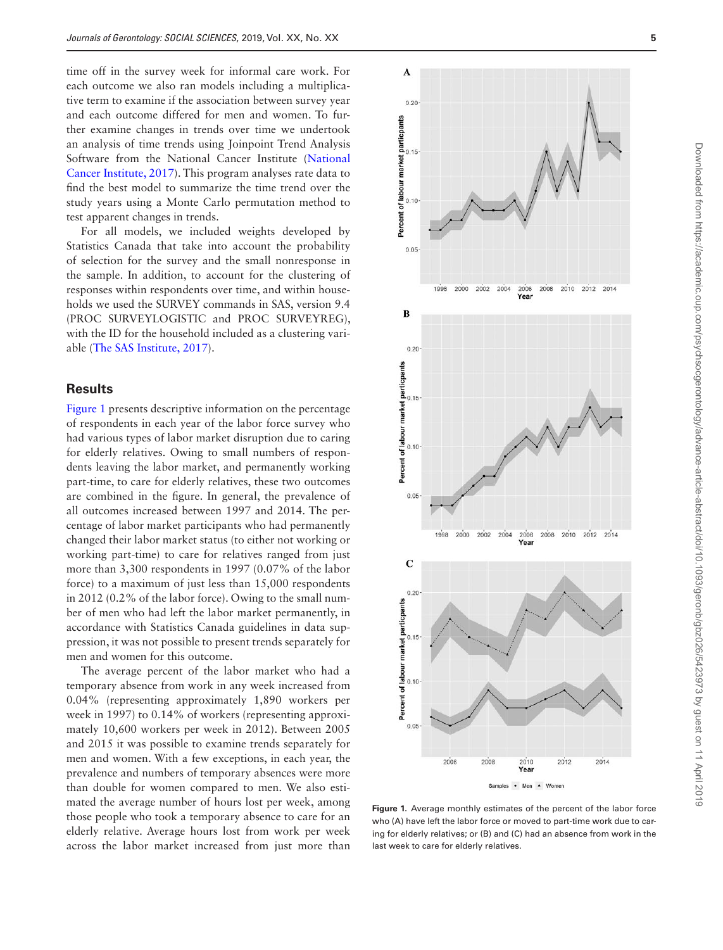time off in the survey week for informal care work. For each outcome we also ran models including a multiplicative term to examine if the association between survey year and each outcome differed for men and women. To further examine changes in trends over time we undertook an analysis of time trends using Joinpoint Trend Analysis Software from the National Cancer Institute [\(National](#page-10-9)  [Cancer Institute, 2017](#page-10-9)). This program analyses rate data to find the best model to summarize the time trend over the study years using a Monte Carlo permutation method to test apparent changes in trends.

For all models, we included weights developed by Statistics Canada that take into account the probability of selection for the survey and the small nonresponse in the sample. In addition, to account for the clustering of responses within respondents over time, and within households we used the SURVEY commands in SAS, version 9.4 (PROC SURVEYLOGISTIC and PROC SURVEYREG), with the ID for the household included as a clustering variable ([The SAS Institute, 2017](#page-10-10)).

#### **Results**

[Figure 1](#page-4-0) presents descriptive information on the percentage of respondents in each year of the labor force survey who had various types of labor market disruption due to caring for elderly relatives. Owing to small numbers of respondents leaving the labor market, and permanently working part-time, to care for elderly relatives, these two outcomes are combined in the figure. In general, the prevalence of all outcomes increased between 1997 and 2014. The percentage of labor market participants who had permanently changed their labor market status (to either not working or working part-time) to care for relatives ranged from just more than 3,300 respondents in 1997 (0.07% of the labor force) to a maximum of just less than 15,000 respondents in 2012 (0.2% of the labor force). Owing to the small number of men who had left the labor market permanently, in accordance with Statistics Canada guidelines in data suppression, it was not possible to present trends separately for men and women for this outcome.

The average percent of the labor market who had a temporary absence from work in any week increased from 0.04% (representing approximately 1,890 workers per week in 1997) to 0.14% of workers (representing approximately 10,600 workers per week in 2012). Between 2005 and 2015 it was possible to examine trends separately for men and women. With a few exceptions, in each year, the prevalence and numbers of temporary absences were more than double for women compared to men. We also estimated the average number of hours lost per week, among those people who took a temporary absence to care for an elderly relative. Average hours lost from work per week across the labor market increased from just more than



<span id="page-4-0"></span>**Figure 1.** Average monthly estimates of the percent of the labor force who (A) have left the labor force or moved to part-time work due to caring for elderly relatives; or (B) and (C) had an absence from work in the last week to care for elderly relatives.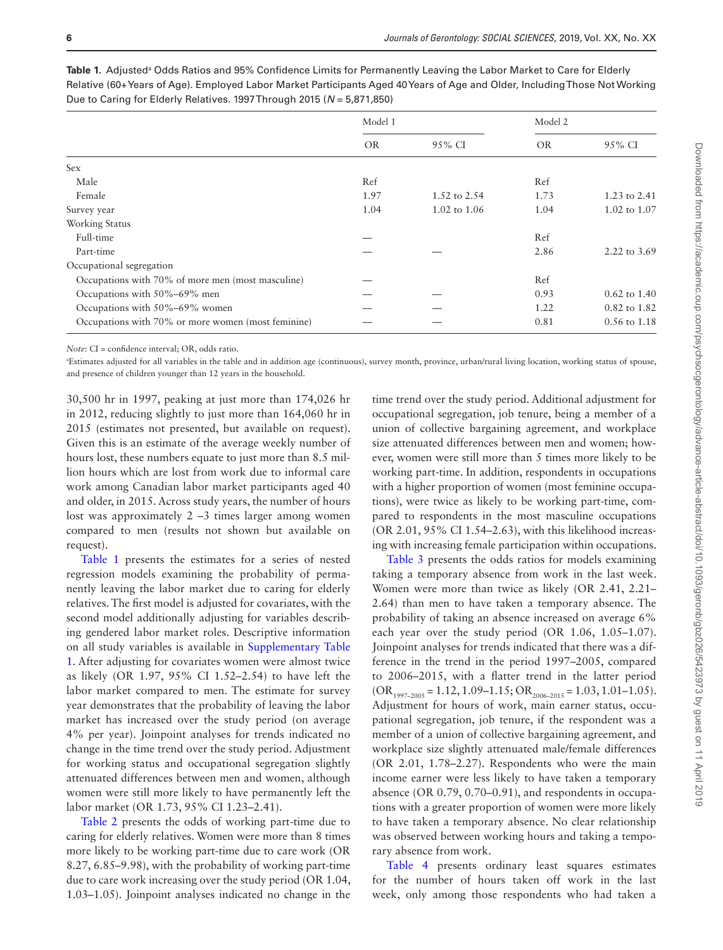|                                                    | Model 1   |                | Model 2   |                  |
|----------------------------------------------------|-----------|----------------|-----------|------------------|
|                                                    | <b>OR</b> | 95% CI         | <b>OR</b> | 95% CI           |
| Sex                                                |           |                |           |                  |
| Male                                               | Ref       |                | Ref       |                  |
| Female                                             | 1.97      | 1.52 to 2.54   | 1.73      | 1.23 to 2.41     |
| Survey year                                        | 1.04      | 1.02 to $1.06$ | 1.04      | 1.02 to $1.07$   |
| <b>Working Status</b>                              |           |                |           |                  |
| Full-time                                          |           |                | Ref       |                  |
| Part-time                                          |           |                | 2.86      | 2.22 to 3.69     |
| Occupational segregation                           |           |                |           |                  |
| Occupations with 70% of more men (most masculine)  |           |                | Ref       |                  |
| Occupations with 50%-69% men                       |           |                | 0.93      | $0.62$ to $1.40$ |
| Occupations with 50%–69% women                     |           |                | 1.22      | 0.82 to 1.82     |
| Occupations with 70% or more women (most feminine) |           |                | 0.81      | $0.56$ to $1.18$ |

<span id="page-5-0"></span>**Table 1.** Adjustedª Odds Ratios and 95% Confidence Limits for Permanently Leaving the Labor Market to Care for Elderly Relative (60+ Years of Age). Employed Labor Market Participants Aged 40 Years of Age and Older, Including Those Not Working Due to Caring for Elderly Relatives. 1997 Through 2015 (*N* = 5,871,850)

*Note*: CI = confidence interval; OR, odds ratio.

a Estimates adjusted for all variables in the table and in addition age (continuous), survey month, province, urban/rural living location, working status of spouse, and presence of children younger than 12 years in the household.

30,500 hr in 1997, peaking at just more than 174,026 hr in 2012, reducing slightly to just more than 164,060 hr in 2015 (estimates not presented, but available on request). Given this is an estimate of the average weekly number of hours lost, these numbers equate to just more than 8.5 million hours which are lost from work due to informal care work among Canadian labor market participants aged 40 and older, in 2015. Across study years, the number of hours lost was approximately 2 –3 times larger among women compared to men (results not shown but available on request).

[Table 1](#page-5-0) presents the estimates for a series of nested regression models examining the probability of permanently leaving the labor market due to caring for elderly relatives. The first model is adjusted for covariates, with the second model additionally adjusting for variables describing gendered labor market roles. Descriptive information on all study variables is available in [Supplementary Table](http://academic.oup.com/psychsocgerontology/article-lookup/doi/10.1093/geronb/gbz026#supplementary-data)  [1.](http://academic.oup.com/psychsocgerontology/article-lookup/doi/10.1093/geronb/gbz026#supplementary-data) After adjusting for covariates women were almost twice as likely (OR 1.97, 95% CI 1.52–2.54) to have left the labor market compared to men. The estimate for survey year demonstrates that the probability of leaving the labor market has increased over the study period (on average 4% per year). Joinpoint analyses for trends indicated no change in the time trend over the study period. Adjustment for working status and occupational segregation slightly attenuated differences between men and women, although women were still more likely to have permanently left the labor market (OR 1.73, 95% CI 1.23–2.41).

[Table 2](#page-6-0) presents the odds of working part-time due to caring for elderly relatives. Women were more than 8 times more likely to be working part-time due to care work (OR 8.27, 6.85–9.98), with the probability of working part-time due to care work increasing over the study period (OR 1.04, 1.03–1.05). Joinpoint analyses indicated no change in the

time trend over the study period. Additional adjustment for occupational segregation, job tenure, being a member of a union of collective bargaining agreement, and workplace size attenuated differences between men and women; however, women were still more than 5 times more likely to be working part-time. In addition, respondents in occupations with a higher proportion of women (most feminine occupations), were twice as likely to be working part-time, compared to respondents in the most masculine occupations (OR 2.01, 95% CI 1.54–2.63), with this likelihood increasing with increasing female participation within occupations.

[Table 3](#page-6-1) presents the odds ratios for models examining taking a temporary absence from work in the last week. Women were more than twice as likely (OR 2.41, 2.21– 2.64) than men to have taken a temporary absence. The probability of taking an absence increased on average 6% each year over the study period (OR 1.06, 1.05–1.07). Joinpoint analyses for trends indicated that there was a difference in the trend in the period 1997–2005, compared to 2006–2015, with a flatter trend in the latter period  $(OR_{1997-2005} = 1.12, 1.09-1.15; OR_{2006-2015} = 1.03, 1.01-1.05).$ Adjustment for hours of work, main earner status, occupational segregation, job tenure, if the respondent was a member of a union of collective bargaining agreement, and workplace size slightly attenuated male/female differences (OR 2.01, 1.78–2.27). Respondents who were the main income earner were less likely to have taken a temporary absence (OR 0.79, 0.70–0.91), and respondents in occupations with a greater proportion of women were more likely to have taken a temporary absence. No clear relationship was observed between working hours and taking a temporary absence from work.

[Table 4](#page-7-0) presents ordinary least squares estimates for the number of hours taken off work in the last week, only among those respondents who had taken a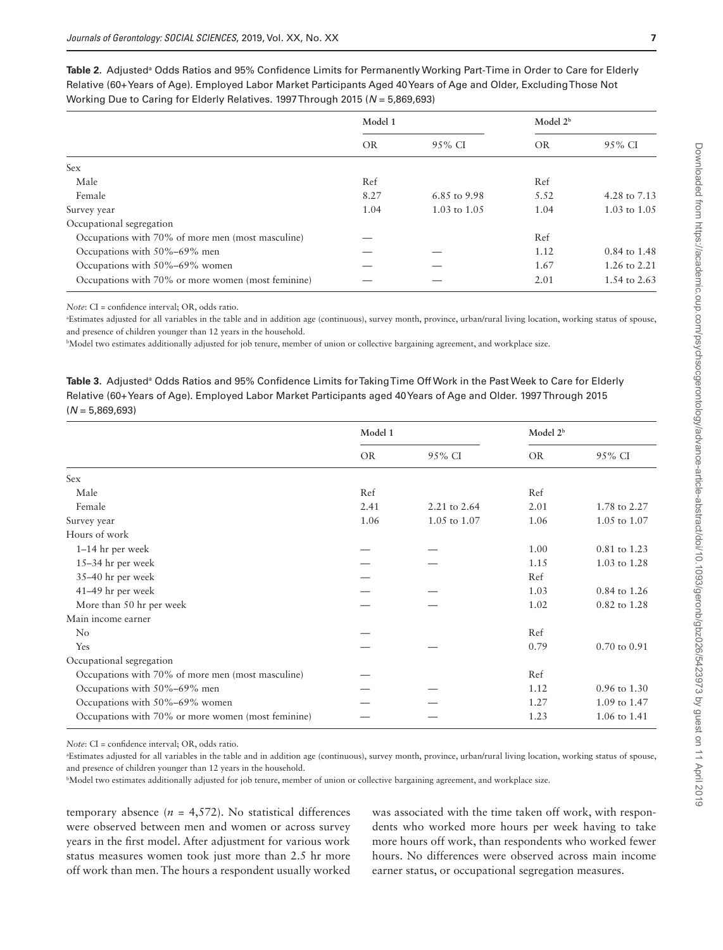Sex

<span id="page-6-1"></span>Male Ref Ref Female 6.85 to 9.98 5.52 4.28 to 7.13 Survey year 1.04 1.03 to 1.05 1.04 1.03 to 1.05 Occupational segregation Occupations with 70% of more men (most masculine) *—* Ref Occupations with 50%–69% men *— —* 1.12 0.84 to 1.48 Occupations with 50%–69% women *— —* 1.67 1.26 to 2.21 Occupations with 70% or more women (most feminine) *— —* 2.01 1.54 to 2.63 *Note*: CI = confidence interval; OR, odds ratio. a Estimates adjusted for all variables in the table and in addition age (continuous), survey month, province, urban/rural living location, working status of spouse, and presence of children younger than 12 years in the household. b Model two estimates additionally adjusted for job tenure, member of union or collective bargaining agreement, and workplace size. **Table 3.** Adjustedª Odds Ratios and 95% Confidence Limits for Taking Time Off Work in the Past Week to Care for Elderly Relative (60+ Years of Age). Employed Labor Market Participants aged 40 Years of Age and Older. 1997 Through 2015 (*N* = 5,869,693) **Model 1 Model 2b** OR 95% CI OR 95% CI Sex Male Ref Ref Female 2.41 2.21 to 2.64 2.01 1.78 to 2.27 Survey year 1.05 to 1.07 1.06 1.07 1.06 1.07 1.06 1.07 1.05 to 1.07 1.05 to 1.07 Hours of work 1–14 hr per week *— —* 1.00 0.81 to 1.23 15–34 hr per week *— —* 1.15 1.03 to 1.28 35–40 hr per week *—* Ref 41–49 hr per week *— —* 1.03 0.84 to 1.26 More than 50 hr per week *— —* 1.02 0.82 to 1.28 Main income earner No **—** Ref Yes *— —* 0.79 0.70 to 0.91 Occupational segregation Occupations with 70% of more men (most masculine) *—* Ref Occupations with 50%–69% men *— —* 1.12 0.96 to 1.30

<span id="page-6-0"></span>**Table 2.** Adjustedª Odds Ratios and 95% Confidence Limits for Permanently Working Part-Time in Order to Care for Elderly Relative (60+ Years of Age). Employed Labor Market Participants Aged 40 Years of Age and Older, Excluding Those Not Working Due to Caring for Elderly Relatives. 1997 Through 2015 (*N* = 5,869,693)

**Model 1 Model 2b**

OR 95% CI OR 95% CI

*Note*: CI = confidence interval; OR, odds ratio.

a Estimates adjusted for all variables in the table and in addition age (continuous), survey month, province, urban/rural living location, working status of spouse, and presence of children younger than 12 years in the household.

Occupations with 50%–69% women *— —* 1.27 1.09 to 1.47 Occupations with 70% or more women (most feminine) *— —* 1.23 1.06 to 1.41

b Model two estimates additionally adjusted for job tenure, member of union or collective bargaining agreement, and workplace size.

temporary absence  $(n = 4,572)$ . No statistical differences were observed between men and women or across survey years in the first model. After adjustment for various work status measures women took just more than 2.5 hr more off work than men. The hours a respondent usually worked

was associated with the time taken off work, with respondents who worked more hours per week having to take more hours off work, than respondents who worked fewer hours. No differences were observed across main income earner status, or occupational segregation measures.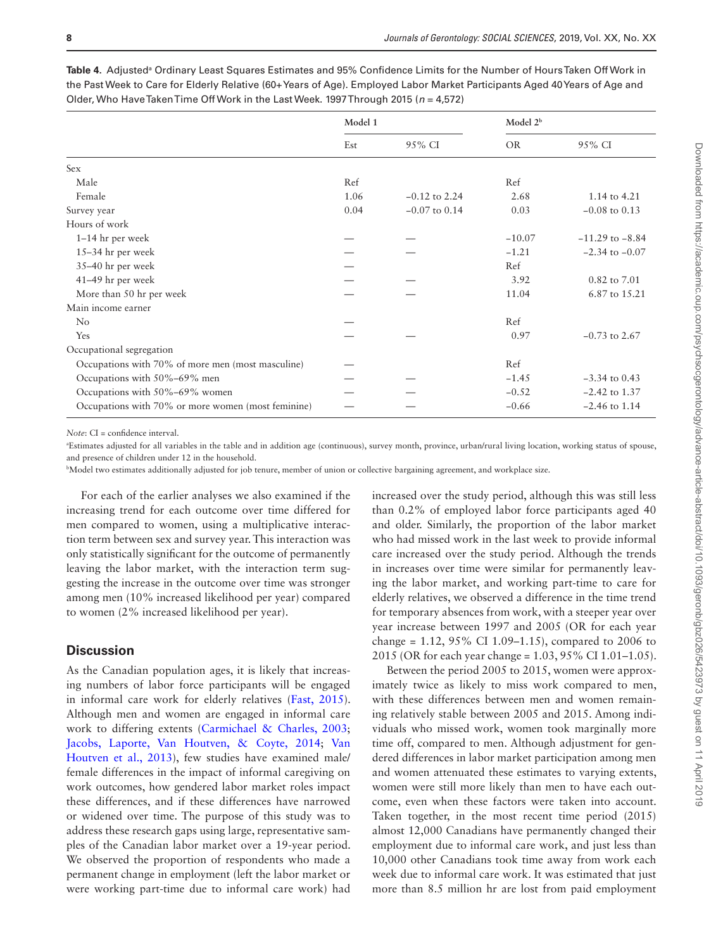|                                                    | Model 1 |                 | Model 2 <sup>b</sup> |                     |
|----------------------------------------------------|---------|-----------------|----------------------|---------------------|
|                                                    | Est     | 95% CI          | <b>OR</b>            | 95% CI              |
| Sex                                                |         |                 |                      |                     |
| Male                                               | Ref     |                 | Ref                  |                     |
| Female                                             | 1.06    | $-0.12$ to 2.24 | 2.68                 | 1.14 to 4.21        |
| Survey year                                        | 0.04    | $-0.07$ to 0.14 | 0.03                 | $-0.08$ to 0.13     |
| Hours of work                                      |         |                 |                      |                     |
| 1-14 hr per week                                   |         |                 | $-10.07$             | $-11.29$ to $-8.84$ |
| 15-34 hr per week                                  |         |                 | $-1.21$              | $-2.34$ to $-0.07$  |
| 35–40 hr per week                                  |         |                 | Ref                  |                     |
| 41–49 hr per week                                  |         |                 | 3.92                 | 0.82 to 7.01        |
| More than 50 hr per week                           |         |                 | 11.04                | 6.87 to 15.21       |
| Main income earner                                 |         |                 |                      |                     |
| $\rm No$                                           |         |                 | Ref                  |                     |
| Yes                                                |         |                 | 0.97                 | $-0.73$ to 2.67     |
| Occupational segregation                           |         |                 |                      |                     |
| Occupations with 70% of more men (most masculine)  |         |                 | Ref                  |                     |
| Occupations with 50%-69% men                       |         |                 | $-1.45$              | $-3.34$ to 0.43     |
| Occupations with 50%-69% women                     |         |                 | $-0.52$              | $-2.42$ to 1.37     |
| Occupations with 70% or more women (most feminine) |         |                 | $-0.66$              | $-2.46$ to 1.14     |

<span id="page-7-0"></span>**Table 4.** Adjustedª Ordinary Least Squares Estimates and 95% Confidence Limits for the Number of Hours Taken Off Work in the Past Week to Care for Elderly Relative (60+ Years of Age). Employed Labor Market Participants Aged 40 Years of Age and Older, Who Have Taken Time Off Work in the Last Week. 1997 Through 2015 (*n* = 4,572)

*Note*: CI = confidence interval.

a Estimates adjusted for all variables in the table and in addition age (continuous), survey month, province, urban/rural living location, working status of spouse, and presence of children under 12 in the household.

b Model two estimates additionally adjusted for job tenure, member of union or collective bargaining agreement, and workplace size.

For each of the earlier analyses we also examined if the increasing trend for each outcome over time differed for men compared to women, using a multiplicative interaction term between sex and survey year. This interaction was only statistically significant for the outcome of permanently leaving the labor market, with the interaction term suggesting the increase in the outcome over time was stronger among men (10% increased likelihood per year) compared to women (2% increased likelihood per year).

#### **Discussion**

As the Canadian population ages, it is likely that increasing numbers of labor force participants will be engaged in informal care work for elderly relatives ([Fast, 2015](#page-9-8)). Although men and women are engaged in informal care work to differing extents ([Carmichael & Charles, 2003](#page-9-3); [Jacobs, Laporte, Van Houtven, & Coyte, 2014](#page-9-9); [Van](#page-10-4)  Houtven et al., 2013), few studies have examined male/ female differences in the impact of informal caregiving on work outcomes, how gendered labor market roles impact these differences, and if these differences have narrowed or widened over time. The purpose of this study was to address these research gaps using large, representative samples of the Canadian labor market over a 19-year period. We observed the proportion of respondents who made a permanent change in employment (left the labor market or were working part-time due to informal care work) had increased over the study period, although this was still less than 0.2% of employed labor force participants aged 40 and older. Similarly, the proportion of the labor market who had missed work in the last week to provide informal care increased over the study period. Although the trends in increases over time were similar for permanently leaving the labor market, and working part-time to care for elderly relatives, we observed a difference in the time trend for temporary absences from work, with a steeper year over year increase between 1997 and 2005 (OR for each year change = 1.12, 95% CI 1.09–1.15), compared to 2006 to 2015 (OR for each year change = 1.03, 95% CI 1.01–1.05).

Between the period 2005 to 2015, women were approximately twice as likely to miss work compared to men, with these differences between men and women remaining relatively stable between 2005 and 2015. Among individuals who missed work, women took marginally more time off, compared to men. Although adjustment for gendered differences in labor market participation among men and women attenuated these estimates to varying extents, women were still more likely than men to have each outcome, even when these factors were taken into account. Taken together, in the most recent time period (2015) almost 12,000 Canadians have permanently changed their employment due to informal care work, and just less than 10,000 other Canadians took time away from work each week due to informal care work. It was estimated that just more than 8.5 million hr are lost from paid employment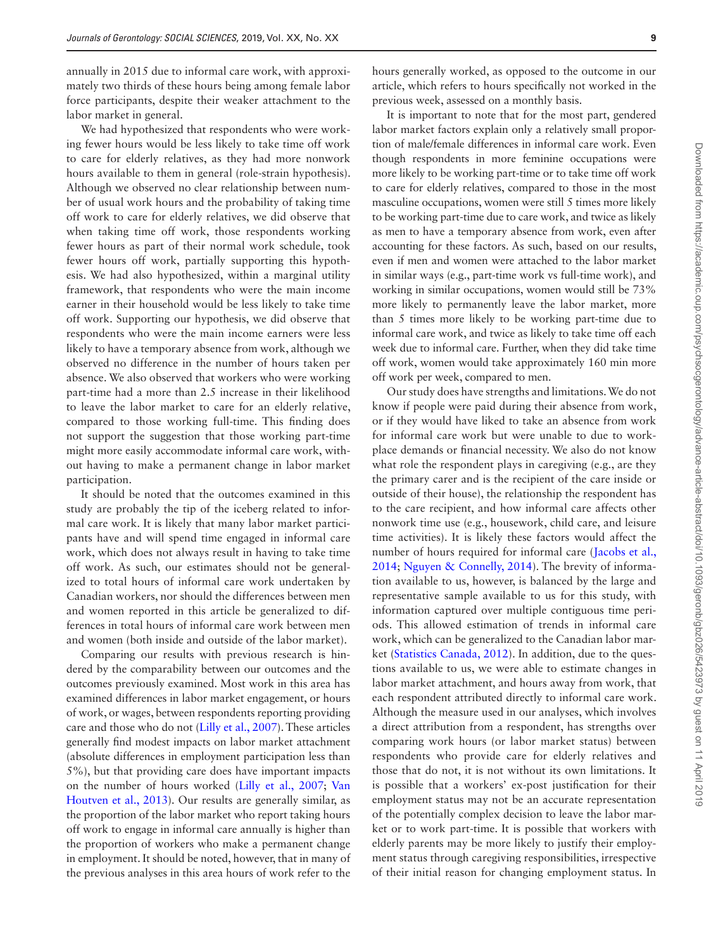annually in 2015 due to informal care work, with approximately two thirds of these hours being among female labor force participants, despite their weaker attachment to the labor market in general.

We had hypothesized that respondents who were working fewer hours would be less likely to take time off work to care for elderly relatives, as they had more nonwork hours available to them in general (role-strain hypothesis). Although we observed no clear relationship between number of usual work hours and the probability of taking time off work to care for elderly relatives, we did observe that when taking time off work, those respondents working fewer hours as part of their normal work schedule, took fewer hours off work, partially supporting this hypothesis. We had also hypothesized, within a marginal utility framework, that respondents who were the main income earner in their household would be less likely to take time off work. Supporting our hypothesis, we did observe that respondents who were the main income earners were less likely to have a temporary absence from work, although we observed no difference in the number of hours taken per absence. We also observed that workers who were working part-time had a more than 2.5 increase in their likelihood to leave the labor market to care for an elderly relative, compared to those working full-time. This finding does not support the suggestion that those working part-time might more easily accommodate informal care work, without having to make a permanent change in labor market participation.

It should be noted that the outcomes examined in this study are probably the tip of the iceberg related to informal care work. It is likely that many labor market participants have and will spend time engaged in informal care work, which does not always result in having to take time off work. As such, our estimates should not be generalized to total hours of informal care work undertaken by Canadian workers, nor should the differences between men and women reported in this article be generalized to differences in total hours of informal care work between men and women (both inside and outside of the labor market).

Comparing our results with previous research is hindered by the comparability between our outcomes and the outcomes previously examined. Most work in this area has examined differences in labor market engagement, or hours of work, or wages, between respondents reporting providing care and those who do not [\(Lilly et al., 2007](#page-9-2)). These articles generally find modest impacts on labor market attachment (absolute differences in employment participation less than 5%), but that providing care does have important impacts on the number of hours worked ([Lilly et al., 2007;](#page-9-2) [Van](#page-10-4)  [Houtven et al., 2013](#page-10-4)). Our results are generally similar, as the proportion of the labor market who report taking hours off work to engage in informal care annually is higher than the proportion of workers who make a permanent change in employment. It should be noted, however, that in many of the previous analyses in this area hours of work refer to the hours generally worked, as opposed to the outcome in our article, which refers to hours specifically not worked in the previous week, assessed on a monthly basis.

It is important to note that for the most part, gendered labor market factors explain only a relatively small proportion of male/female differences in informal care work. Even though respondents in more feminine occupations were more likely to be working part-time or to take time off work to care for elderly relatives, compared to those in the most masculine occupations, women were still 5 times more likely to be working part-time due to care work, and twice as likely as men to have a temporary absence from work, even after accounting for these factors. As such, based on our results, even if men and women were attached to the labor market in similar ways (e.g., part-time work vs full-time work), and working in similar occupations, women would still be 73% more likely to permanently leave the labor market, more than 5 times more likely to be working part-time due to informal care work, and twice as likely to take time off each week due to informal care. Further, when they did take time off work, women would take approximately 160 min more off work per week, compared to men.

Our study does have strengths and limitations. We do not know if people were paid during their absence from work, or if they would have liked to take an absence from work for informal care work but were unable to due to workplace demands or financial necessity. We also do not know what role the respondent plays in caregiving (e.g., are they the primary carer and is the recipient of the care inside or outside of their house), the relationship the respondent has to the care recipient, and how informal care affects other nonwork time use (e.g., housework, child care, and leisure time activities). It is likely these factors would affect the number of hours required for informal care [\(Jacobs et al.,](#page-9-9)  [2014](#page-9-9); [Nguyen & Connelly, 2014\)](#page-10-2). The brevity of information available to us, however, is balanced by the large and representative sample available to us for this study, with information captured over multiple contiguous time periods. This allowed estimation of trends in informal care work, which can be generalized to the Canadian labor market ([Statistics Canada, 2012\)](#page-10-8). In addition, due to the questions available to us, we were able to estimate changes in labor market attachment, and hours away from work, that each respondent attributed directly to informal care work. Although the measure used in our analyses, which involves a direct attribution from a respondent, has strengths over comparing work hours (or labor market status) between respondents who provide care for elderly relatives and those that do not, it is not without its own limitations. It is possible that a workers' ex-post justification for their employment status may not be an accurate representation of the potentially complex decision to leave the labor market or to work part-time. It is possible that workers with elderly parents may be more likely to justify their employment status through caregiving responsibilities, irrespective of their initial reason for changing employment status. In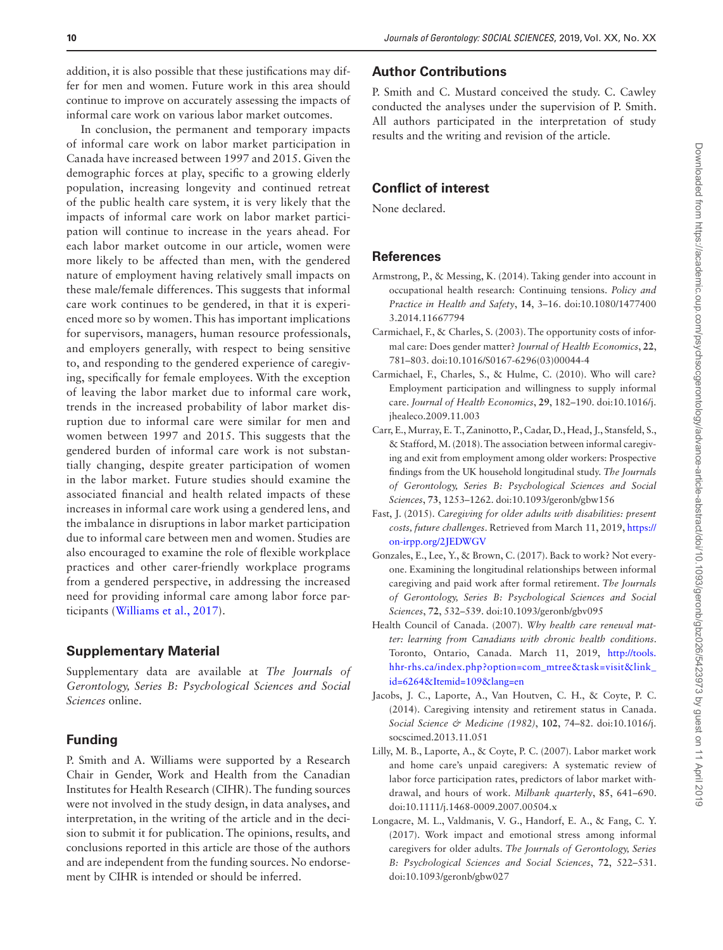addition, it is also possible that these justifications may differ for men and women. Future work in this area should continue to improve on accurately assessing the impacts of informal care work on various labor market outcomes.

In conclusion, the permanent and temporary impacts of informal care work on labor market participation in Canada have increased between 1997 and 2015. Given the demographic forces at play, specific to a growing elderly population, increasing longevity and continued retreat of the public health care system, it is very likely that the impacts of informal care work on labor market participation will continue to increase in the years ahead. For each labor market outcome in our article, women were more likely to be affected than men, with the gendered nature of employment having relatively small impacts on these male/female differences. This suggests that informal care work continues to be gendered, in that it is experienced more so by women. This has important implications for supervisors, managers, human resource professionals, and employers generally, with respect to being sensitive to, and responding to the gendered experience of caregiving, specifically for female employees. With the exception of leaving the labor market due to informal care work, trends in the increased probability of labor market disruption due to informal care were similar for men and women between 1997 and 2015. This suggests that the gendered burden of informal care work is not substantially changing, despite greater participation of women in the labor market. Future studies should examine the associated financial and health related impacts of these increases in informal care work using a gendered lens, and the imbalance in disruptions in labor market participation due to informal care between men and women. Studies are also encouraged to examine the role of flexible workplace practices and other carer-friendly workplace programs from a gendered perspective, in addressing the increased need for providing informal care among labor force participants [\(Williams et al., 2017\)](#page-10-11).

#### **Supplementary Material**

Supplementary data are available at *The Journals of Gerontology, Series B: Psychological Sciences and Social Sciences* online.

## **Funding**

P. Smith and A. Williams were supported by a Research Chair in Gender, Work and Health from the Canadian Institutes for Health Research (CIHR). The funding sources were not involved in the study design, in data analyses, and interpretation, in the writing of the article and in the decision to submit it for publication. The opinions, results, and conclusions reported in this article are those of the authors and are independent from the funding sources. No endorsement by CIHR is intended or should be inferred.

### **Author Contributions**

P. Smith and C. Mustard conceived the study. C. Cawley conducted the analyses under the supervision of P. Smith. All authors participated in the interpretation of study results and the writing and revision of the article.

# **Conflict of interest**

None declared.

#### **References**

- <span id="page-9-6"></span>Armstrong, P., & Messing, K. (2014). Taking gender into account in occupational health research: Continuing tensions. *Policy and Practice in Health and Safety*, **14**, 3–16. doi:10.1080/1477400 3.2014.11667794
- <span id="page-9-3"></span>Carmichael, F., & Charles, S. (2003). The opportunity costs of informal care: Does gender matter? *Journal of Health Economics*, **22**, 781–803. doi:10.1016/S0167-6296(03)00044-4
- <span id="page-9-1"></span>Carmichael, F., Charles, S., & Hulme, C. (2010). Who will care? Employment participation and willingness to supply informal care. *Journal of Health Economics*, **29**, 182–190. doi:10.1016/j. jhealeco.2009.11.003
- <span id="page-9-4"></span>Carr, E., Murray, E. T., Zaninotto, P., Cadar, D., Head, J., Stansfeld, S., & Stafford, M. (2018). The association between informal caregiving and exit from employment among older workers: Prospective findings from the UK household longitudinal study. *The Journals of Gerontology, Series B: Psychological Sciences and Social Sciences*, **73**, 1253–1262. doi:10.1093/geronb/gbw156
- <span id="page-9-8"></span>Fast, J. (2015). *Caregiving for older adults with disabilities: present costs, future challenges*. Retrieved from March 11, 2019, [https://](https://on-irpp.org/2JEDWGV﻿) [on-irpp.org/2JEDWGV](https://on-irpp.org/2JEDWGV﻿)
- <span id="page-9-5"></span>Gonzales, E., Lee, Y., & Brown, C. (2017). Back to work? Not everyone. Examining the longitudinal relationships between informal caregiving and paid work after formal retirement. *The Journals of Gerontology, Series B: Psychological Sciences and Social Sciences*, **72**, 532–539. doi:10.1093/geronb/gbv095
- <span id="page-9-0"></span>Health Council of Canada. (2007). *Why health care renewal matter: learning from Canadians with chronic health conditions*. Toronto, Ontario, Canada. March 11, 2019, [http://tools.](http://tools.hhr-rhs.ca/index.php?option=com_mtree&task=visit&link_id=6264&Itemid=109&lang=en﻿) [hhr-rhs.ca/index.php?option=com\\_mtree&task=visit&link\\_](http://tools.hhr-rhs.ca/index.php?option=com_mtree&task=visit&link_id=6264&Itemid=109&lang=en﻿) [id=6264&Itemid=109&lang=en](http://tools.hhr-rhs.ca/index.php?option=com_mtree&task=visit&link_id=6264&Itemid=109&lang=en﻿)
- <span id="page-9-9"></span>Jacobs, J. C., Laporte, A., Van Houtven, C. H., & Coyte, P. C. (2014). Caregiving intensity and retirement status in Canada. *Social Science & Medicine (1982)*, **102**, 74–82. doi:10.1016/j. socscimed.2013.11.051
- <span id="page-9-2"></span>Lilly, M. B., Laporte, A., & Coyte, P. C. (2007). Labor market work and home care's unpaid caregivers: A systematic review of labor force participation rates, predictors of labor market withdrawal, and hours of work. *Milbank quarterly*, **85**, 641–690. doi:10.1111/j.1468-0009.2007.00504.x
- <span id="page-9-7"></span>Longacre, M. L., Valdmanis, V. G., Handorf, E. A., & Fang, C. Y. (2017). Work impact and emotional stress among informal caregivers for older adults. *The Journals of Gerontology, Series B: Psychological Sciences and Social Sciences*, **72**, 522–531. doi:10.1093/geronb/gbw027